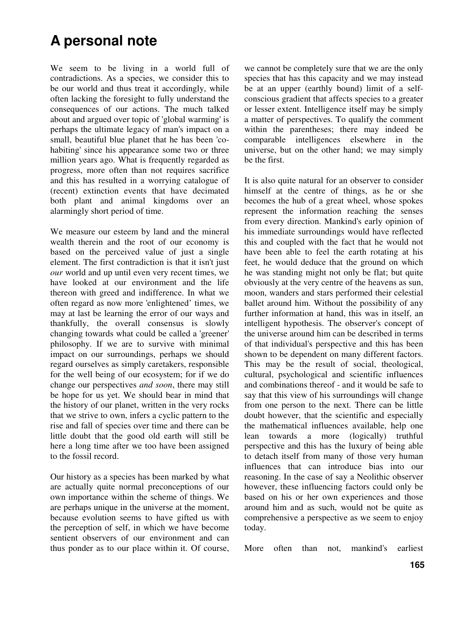## **A personal note**

We seem to be living in a world full of contradictions. As a species, we consider this to be our world and thus treat it accordingly, while often lacking the foresight to fully understand the consequences of our actions. The much talked about and argued over topic of 'global warming' is perhaps the ultimate legacy of man's impact on a small, beautiful blue planet that he has been 'cohabiting' since his appearance some two or three million years ago. What is frequently regarded as progress, more often than not requires sacrifice and this has resulted in a worrying catalogue of (recent) extinction events that have decimated both plant and animal kingdoms over an alarmingly short period of time.

We measure our esteem by land and the mineral wealth therein and the root of our economy is based on the perceived value of just a single element. The first contradiction is that it isn't just *our* world and up until even very recent times, we have looked at our environment and the life thereon with greed and indifference. In what we often regard as now more 'enlightened' times, we may at last be learning the error of our ways and thankfully, the overall consensus is slowly changing towards what could be called a 'greener' philosophy. If we are to survive with minimal impact on our surroundings, perhaps we should regard ourselves as simply caretakers, responsible for the well being of our ecosystem; for if we do change our perspectives *and soon*, there may still be hope for us yet. We should bear in mind that the history of our planet, written in the very rocks that we strive to own, infers a cyclic pattern to the rise and fall of species over time and there can be little doubt that the good old earth will still be here a long time after we too have been assigned to the fossil record.

Our history as a species has been marked by what are actually quite normal preconceptions of our own importance within the scheme of things. We are perhaps unique in the universe at the moment, because evolution seems to have gifted us with the perception of self, in which we have become sentient observers of our environment and can thus ponder as to our place within it. Of course, we cannot be completely sure that we are the only species that has this capacity and we may instead be at an upper (earthly bound) limit of a selfconscious gradient that affects species to a greater or lesser extent. Intelligence itself may be simply a matter of perspectives. To qualify the comment within the parentheses; there may indeed be comparable intelligences elsewhere in the universe, but on the other hand; we may simply be the first.

It is also quite natural for an observer to consider himself at the centre of things, as he or she becomes the hub of a great wheel, whose spokes represent the information reaching the senses from every direction. Mankind's early opinion of his immediate surroundings would have reflected this and coupled with the fact that he would not have been able to feel the earth rotating at his feet, he would deduce that the ground on which he was standing might not only be flat; but quite obviously at the very centre of the heavens as sun, moon, wanders and stars performed their celestial ballet around him. Without the possibility of any further information at hand, this was in itself, an intelligent hypothesis. The observer's concept of the universe around him can be described in terms of that individual's perspective and this has been shown to be dependent on many different factors. This may be the result of social, theological, cultural, psychological and scientific influences and combinations thereof - and it would be safe to say that this view of his surroundings will change from one person to the next. There can be little doubt however, that the scientific and especially the mathematical influences available, help one lean towards a more (logically) truthful perspective and this has the luxury of being able to detach itself from many of those very human influences that can introduce bias into our reasoning. In the case of say a Neolithic observer however, these influencing factors could only be based on his or her own experiences and those around him and as such, would not be quite as comprehensive a perspective as we seem to enjoy today.

More often than not, mankind's earliest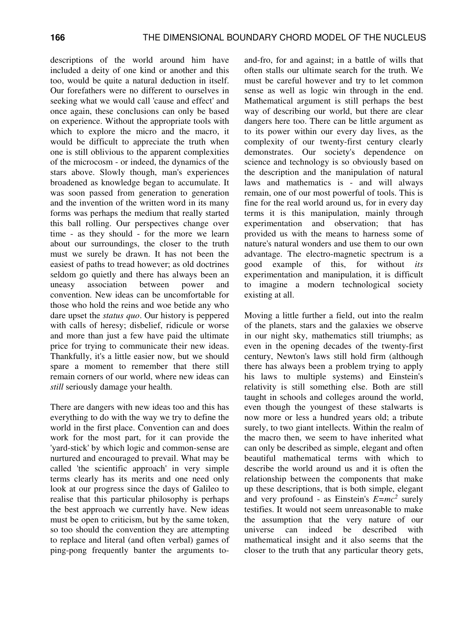descriptions of the world around him have included a deity of one kind or another and this too, would be quite a natural deduction in itself. Our forefathers were no different to ourselves in seeking what we would call 'cause and effect' and once again, these conclusions can only be based on experience. Without the appropriate tools with which to explore the micro and the macro, it would be difficult to appreciate the truth when one is still oblivious to the apparent complexities of the microcosm - or indeed, the dynamics of the stars above. Slowly though, man's experiences broadened as knowledge began to accumulate. It was soon passed from generation to generation and the invention of the written word in its many forms was perhaps the medium that really started this ball rolling. Our perspectives change over time - as they should - for the more we learn about our surroundings, the closer to the truth must we surely be drawn. It has not been the easiest of paths to tread however; as old doctrines seldom go quietly and there has always been an uneasy association between power and convention. New ideas can be uncomfortable for those who hold the reins and woe betide any who dare upset the *status quo*. Our history is peppered with calls of heresy; disbelief, ridicule or worse and more than just a few have paid the ultimate price for trying to communicate their new ideas. Thankfully, it's a little easier now, but we should spare a moment to remember that there still remain corners of our world, where new ideas can *still* seriously damage your health.

There are dangers with new ideas too and this has everything to do with the way we try to define the world in the first place. Convention can and does work for the most part, for it can provide the 'yard-stick' by which logic and common-sense are nurtured and encouraged to prevail. What may be called 'the scientific approach' in very simple terms clearly has its merits and one need only look at our progress since the days of Galileo to realise that this particular philosophy is perhaps the best approach we currently have. New ideas must be open to criticism, but by the same token, so too should the convention they are attempting to replace and literal (and often verbal) games of ping-pong frequently banter the arguments to-

and-fro, for and against; in a battle of wills that often stalls our ultimate search for the truth. We must be careful however and try to let common sense as well as logic win through in the end. Mathematical argument is still perhaps the best way of describing our world, but there are clear dangers here too. There can be little argument as to its power within our every day lives, as the complexity of our twenty-first century clearly demonstrates. Our society's dependence on science and technology is so obviously based on the description and the manipulation of natural laws and mathematics is - and will always remain, one of our most powerful of tools. This is fine for the real world around us, for in every day terms it is this manipulation, mainly through experimentation and observation; that has provided us with the means to harness some of nature's natural wonders and use them to our own advantage. The electro-magnetic spectrum is a good example of this, for without *its* experimentation and manipulation, it is difficult to imagine a modern technological society existing at all.

Moving a little further a field, out into the realm of the planets, stars and the galaxies we observe in our night sky, mathematics still triumphs; as even in the opening decades of the twenty-first century, Newton's laws still hold firm (although there has always been a problem trying to apply his laws to multiple systems) and Einstein's relativity is still something else. Both are still taught in schools and colleges around the world, even though the youngest of these stalwarts is now more or less a hundred years old; a tribute surely, to two giant intellects. Within the realm of the macro then, we seem to have inherited what can only be described as simple, elegant and often beautiful mathematical terms with which to describe the world around us and it is often the relationship between the components that make up these descriptions, that is both simple, elegant and very profound - as Einstein's  $E=mc^2$  surely testifies. It would not seem unreasonable to make the assumption that the very nature of our universe can indeed be described with mathematical insight and it also seems that the closer to the truth that any particular theory gets,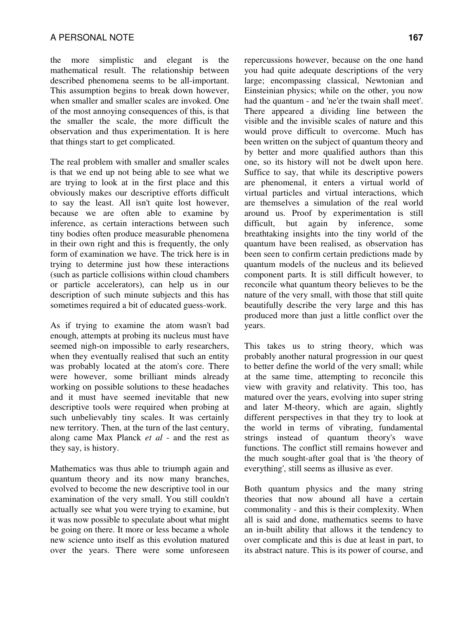the more simplistic and elegant is the mathematical result. The relationship between described phenomena seems to be all-important. This assumption begins to break down however, when smaller and smaller scales are invoked. One of the most annoying consequences of this, is that the smaller the scale, the more difficult the observation and thus experimentation. It is here that things start to get complicated.

The real problem with smaller and smaller scales is that we end up not being able to see what we are trying to look at in the first place and this obviously makes our descriptive efforts difficult to say the least. All isn't quite lost however, because we are often able to examine by inference, as certain interactions between such tiny bodies often produce measurable phenomena in their own right and this is frequently, the only form of examination we have. The trick here is in trying to determine just how these interactions (such as particle collisions within cloud chambers or particle accelerators), can help us in our description of such minute subjects and this has sometimes required a bit of educated guess-work.

As if trying to examine the atom wasn't bad enough, attempts at probing its nucleus must have seemed nigh-on impossible to early researchers, when they eventually realised that such an entity was probably located at the atom's core. There were however, some brilliant minds already working on possible solutions to these headaches and it must have seemed inevitable that new descriptive tools were required when probing at such unbelievably tiny scales. It was certainly new territory. Then, at the turn of the last century, along came Max Planck *et al* - and the rest as they say, is history.

Mathematics was thus able to triumph again and quantum theory and its now many branches, evolved to become the new descriptive tool in our examination of the very small. You still couldn't actually see what you were trying to examine, but it was now possible to speculate about what might be going on there. It more or less became a whole new science unto itself as this evolution matured over the years. There were some unforeseen

repercussions however, because on the one hand you had quite adequate descriptions of the very large; encompassing classical, Newtonian and Einsteinian physics; while on the other, you now had the quantum - and 'ne'er the twain shall meet'. There appeared a dividing line between the visible and the invisible scales of nature and this would prove difficult to overcome. Much has been written on the subject of quantum theory and by better and more qualified authors than this one, so its history will not be dwelt upon here. Suffice to say, that while its descriptive powers are phenomenal, it enters a virtual world of virtual particles and virtual interactions, which are themselves a simulation of the real world around us. Proof by experimentation is still difficult, but again by inference, some breathtaking insights into the tiny world of the quantum have been realised, as observation has been seen to confirm certain predictions made by quantum models of the nucleus and its believed component parts. It is still difficult however, to reconcile what quantum theory believes to be the nature of the very small, with those that still quite beautifully describe the very large and this has produced more than just a little conflict over the years.

This takes us to string theory, which was probably another natural progression in our quest to better define the world of the very small; while at the same time, attempting to reconcile this view with gravity and relativity. This too, has matured over the years, evolving into super string and later M-theory, which are again, slightly different perspectives in that they try to look at the world in terms of vibrating, fundamental strings instead of quantum theory's wave functions. The conflict still remains however and the much sought-after goal that is 'the theory of everything', still seems as illusive as ever.

Both quantum physics and the many string theories that now abound all have a certain commonality - and this is their complexity. When all is said and done, mathematics seems to have an in-built ability that allows it the tendency to over complicate and this is due at least in part, to its abstract nature. This is its power of course, and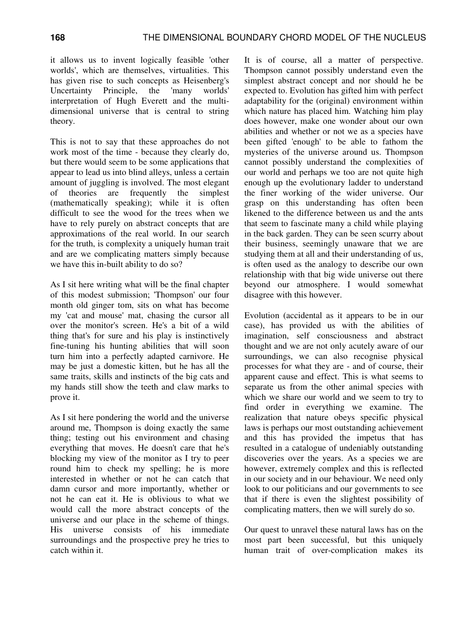it allows us to invent logically feasible 'other worlds', which are themselves, virtualities. This has given rise to such concepts as Heisenberg's Uncertainty Principle, the 'many worlds' interpretation of Hugh Everett and the multidimensional universe that is central to string theory.

This is not to say that these approaches do not work most of the time - because they clearly do, but there would seem to be some applications that appear to lead us into blind alleys, unless a certain amount of juggling is involved. The most elegant of theories are frequently the simplest (mathematically speaking); while it is often difficult to see the wood for the trees when we have to rely purely on abstract concepts that are approximations of the real world. In our search for the truth, is complexity a uniquely human trait and are we complicating matters simply because we have this in-built ability to do so?

As I sit here writing what will be the final chapter of this modest submission; 'Thompson' our four month old ginger tom, sits on what has become my 'cat and mouse' mat, chasing the cursor all over the monitor's screen. He's a bit of a wild thing that's for sure and his play is instinctively fine-tuning his hunting abilities that will soon turn him into a perfectly adapted carnivore. He may be just a domestic kitten, but he has all the same traits, skills and instincts of the big cats and my hands still show the teeth and claw marks to prove it.

As I sit here pondering the world and the universe around me, Thompson is doing exactly the same thing; testing out his environment and chasing everything that moves. He doesn't care that he's blocking my view of the monitor as I try to peer round him to check my spelling; he is more interested in whether or not he can catch that damn cursor and more importantly, whether or not he can eat it. He is oblivious to what we would call the more abstract concepts of the universe and our place in the scheme of things. His universe consists of his immediate surroundings and the prospective prey he tries to catch within it.

It is of course, all a matter of perspective. Thompson cannot possibly understand even the simplest abstract concept and nor should he be expected to. Evolution has gifted him with perfect adaptability for the (original) environment within which nature has placed him. Watching him play does however, make one wonder about our own abilities and whether or not we as a species have been gifted 'enough' to be able to fathom the mysteries of the universe around us. Thompson cannot possibly understand the complexities of our world and perhaps we too are not quite high enough up the evolutionary ladder to understand the finer working of the wider universe. Our grasp on this understanding has often been likened to the difference between us and the ants that seem to fascinate many a child while playing in the back garden. They can be seen scurry about their business, seemingly unaware that we are studying them at all and their understanding of us, is often used as the analogy to describe our own relationship with that big wide universe out there beyond our atmosphere. I would somewhat disagree with this however.

Evolution (accidental as it appears to be in our case), has provided us with the abilities of imagination, self consciousness and abstract thought and we are not only acutely aware of our surroundings, we can also recognise physical processes for what they are - and of course, their apparent cause and effect. This is what seems to separate us from the other animal species with which we share our world and we seem to try to find order in everything we examine. The realization that nature obeys specific physical laws is perhaps our most outstanding achievement and this has provided the impetus that has resulted in a catalogue of undeniably outstanding discoveries over the years. As a species we are however, extremely complex and this is reflected in our society and in our behaviour. We need only look to our politicians and our governments to see that if there is even the slightest possibility of complicating matters, then we will surely do so.

Our quest to unravel these natural laws has on the most part been successful, but this uniquely human trait of over-complication makes its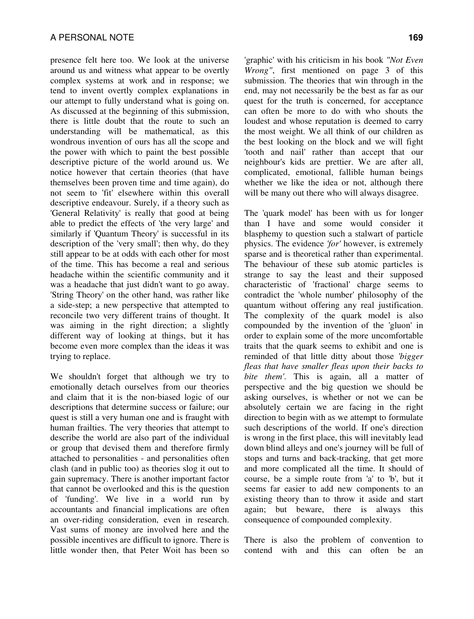presence felt here too. We look at the universe around us and witness what appear to be overtly complex systems at work and in response; we tend to invent overtly complex explanations in our attempt to fully understand what is going on. As discussed at the beginning of this submission, there is little doubt that the route to such an understanding will be mathematical, as this wondrous invention of ours has all the scope and the power with which to paint the best possible descriptive picture of the world around us. We notice however that certain theories (that have themselves been proven time and time again), do not seem to 'fit' elsewhere within this overall descriptive endeavour. Surely, if a theory such as 'General Relativity' is really that good at being able to predict the effects of 'the very large' and similarly if 'Quantum Theory' is successful in its description of the 'very small'; then why, do they still appear to be at odds with each other for most of the time. This has become a real and serious headache within the scientific community and it was a headache that just didn't want to go away. 'String Theory' on the other hand, was rather like a side-step; a new perspective that attempted to reconcile two very different trains of thought. It was aiming in the right direction; a slightly different way of looking at things, but it has become even more complex than the ideas it was trying to replace.

We shouldn't forget that although we try to emotionally detach ourselves from our theories and claim that it is the non-biased logic of our descriptions that determine success or failure; our quest is still a very human one and is fraught with human frailties. The very theories that attempt to describe the world are also part of the individual or group that devised them and therefore firmly attached to personalities - and personalities often clash (and in public too) as theories slog it out to gain supremacy. There is another important factor that cannot be overlooked and this is the question of 'funding'. We live in a world run by accountants and financial implications are often an over-riding consideration, even in research. Vast sums of money are involved here and the possible incentives are difficult to ignore. There is little wonder then, that Peter Woit has been so 'graphic' with his criticism in his book *"Not Even Wrong"*, first mentioned on page 3 of this submission. The theories that win through in the end, may not necessarily be the best as far as our quest for the truth is concerned, for acceptance can often be more to do with who shouts the loudest and whose reputation is deemed to carry the most weight. We all think of our children as the best looking on the block and we will fight 'tooth and nail' rather than accept that our neighbour's kids are prettier. We are after all, complicated, emotional, fallible human beings whether we like the idea or not, although there will be many out there who will always disagree.

The 'quark model' has been with us for longer than I have and some would consider it blasphemy to question such a stalwart of particle physics. The evidence *'for'* however, is extremely sparse and is theoretical rather than experimental. The behaviour of these sub atomic particles is strange to say the least and their supposed characteristic of 'fractional' charge seems to contradict the 'whole number' philosophy of the quantum without offering any real justification. The complexity of the quark model is also compounded by the invention of the 'gluon' in order to explain some of the more uncomfortable traits that the quark seems to exhibit and one is reminded of that little ditty about those *'bigger fleas that have smaller fleas upon their backs to bite them'*. This is again, all a matter of perspective and the big question we should be asking ourselves, is whether or not we can be absolutely certain we are facing in the right direction to begin with as we attempt to formulate such descriptions of the world. If one's direction is wrong in the first place, this will inevitably lead down blind alleys and one's journey will be full of stops and turns and back-tracking, that get more and more complicated all the time. It should of course, be a simple route from 'a' to 'b', but it seems far easier to add new components to an existing theory than to throw it aside and start again; but beware, there is always this consequence of compounded complexity.

There is also the problem of convention to contend with and this can often be an